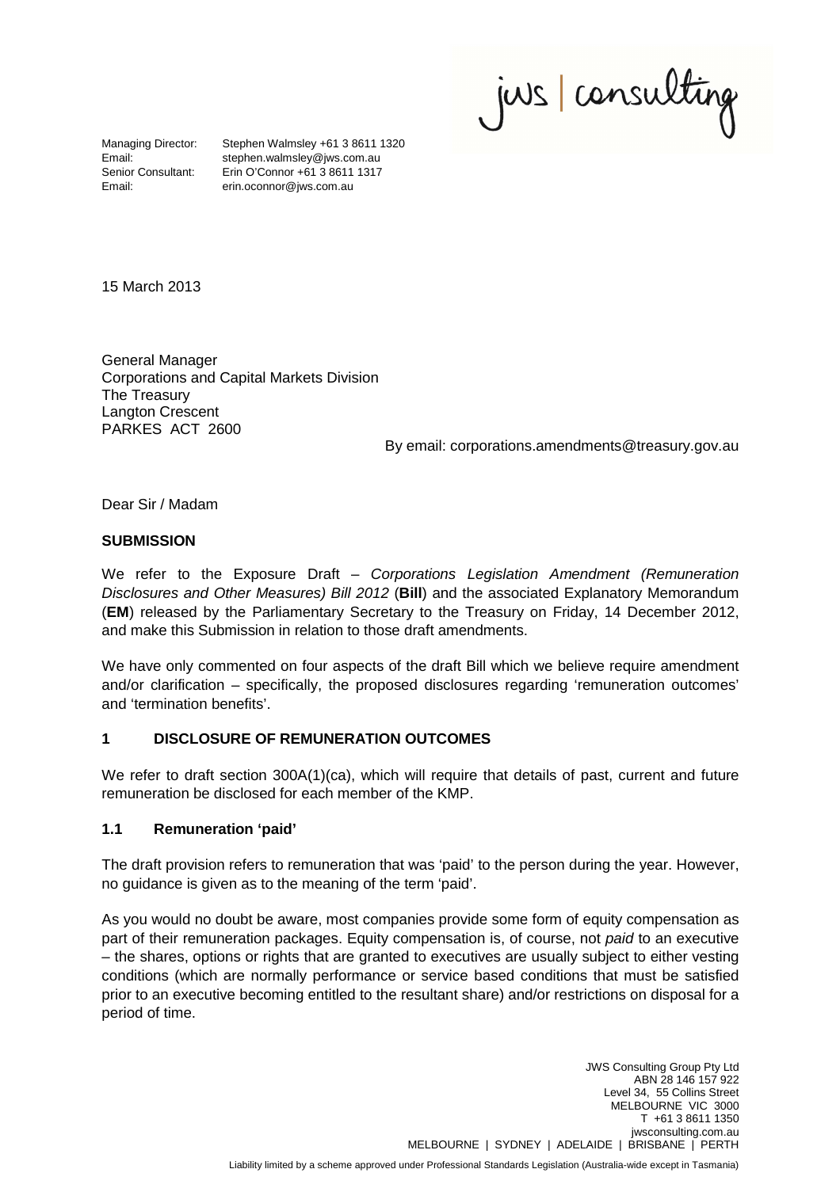jus consulting

Managing Director: Stephen Walmsley +61 3 8611 1320 Email: stephen.walmsley@jws.com.au<br>
Senior Consultant: Frin O'Connor +61 3 8611 1317 Erin O'Connor +61 3 8611 1317 Email: erin.oconnor@jws.com.au

15 March 2013

General Manager Corporations and Capital Markets Division The Treasury Langton Crescent PARKES ACT 2600

By email: corporations.amendments@treasury.gov.au

Dear Sir / Madam

### **SUBMISSION**

We refer to the Exposure Draft – Corporations Legislation Amendment (Remuneration Disclosures and Other Measures) Bill 2012 (**Bill**) and the associated Explanatory Memorandum (**EM**) released by the Parliamentary Secretary to the Treasury on Friday, 14 December 2012, and make this Submission in relation to those draft amendments.

We have only commented on four aspects of the draft Bill which we believe require amendment and/or clarification – specifically, the proposed disclosures regarding 'remuneration outcomes' and 'termination benefits'.

### **1 DISCLOSURE OF REMUNERATION OUTCOMES**

We refer to draft section 300A(1)(ca), which will require that details of past, current and future remuneration be disclosed for each member of the KMP.

# **1.1 Remuneration 'paid'**

The draft provision refers to remuneration that was 'paid' to the person during the year. However, no guidance is given as to the meaning of the term 'paid'.

As you would no doubt be aware, most companies provide some form of equity compensation as part of their remuneration packages. Equity compensation is, of course, not paid to an executive – the shares, options or rights that are granted to executives are usually subject to either vesting conditions (which are normally performance or service based conditions that must be satisfied prior to an executive becoming entitled to the resultant share) and/or restrictions on disposal for a period of time.

> JWS Consulting Group Pty Ltd ABN 28 146 157 922 Level 34, 55 Collins Street MELBOURNE VIC 3000 T +61 3 8611 1350 jwsconsulting.com.au MELBOURNE | SYDNEY | ADELAIDE | BRISBANE | PERTH Liability limited by a scheme approved under Professional Standards Legislation (Australia-wide except in Tasmania)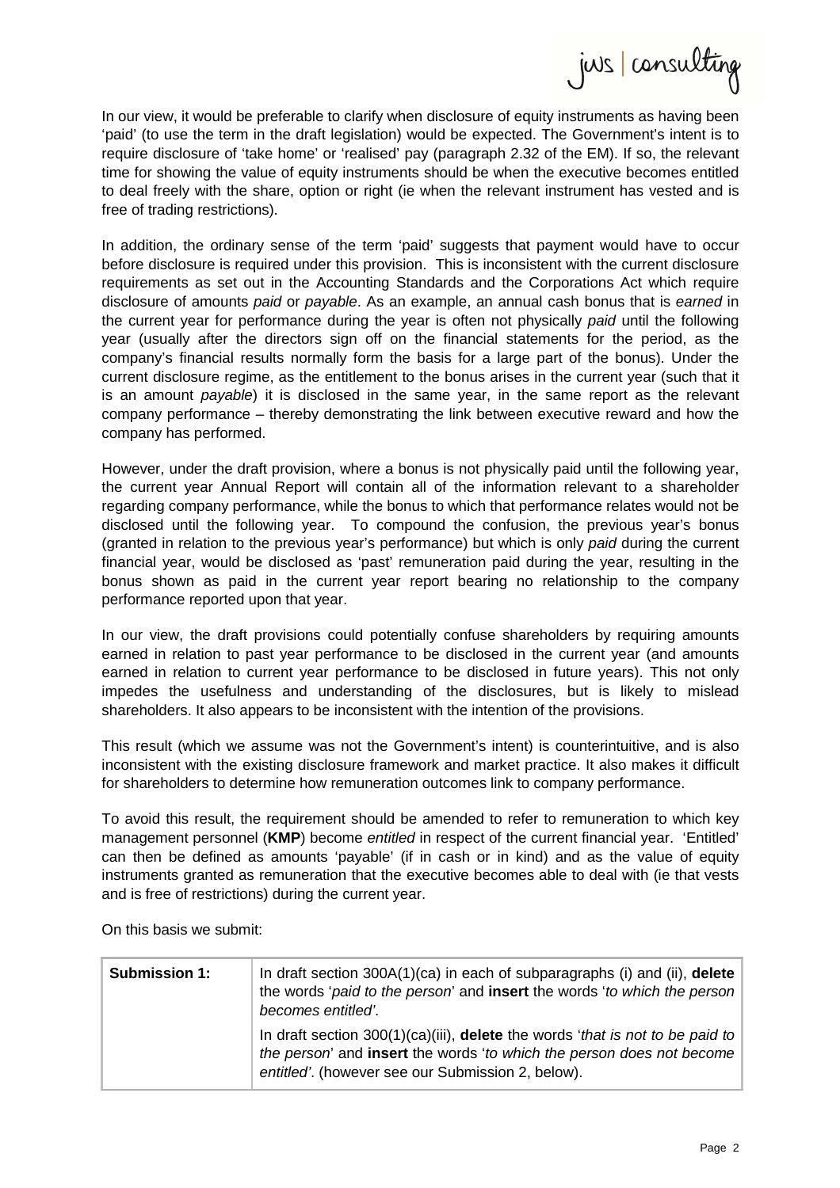, jus consulting

In our view, it would be preferable to clarify when disclosure of equity instruments as having been 'paid' (to use the term in the draft legislation) would be expected. The Government's intent is to require disclosure of 'take home' or 'realised' pay (paragraph 2.32 of the EM). If so, the relevant time for showing the value of equity instruments should be when the executive becomes entitled to deal freely with the share, option or right (ie when the relevant instrument has vested and is free of trading restrictions).

In addition, the ordinary sense of the term 'paid' suggests that payment would have to occur before disclosure is required under this provision. This is inconsistent with the current disclosure requirements as set out in the Accounting Standards and the Corporations Act which require disclosure of amounts paid or payable. As an example, an annual cash bonus that is earned in the current year for performance during the year is often not physically paid until the following year (usually after the directors sign off on the financial statements for the period, as the company's financial results normally form the basis for a large part of the bonus). Under the current disclosure regime, as the entitlement to the bonus arises in the current year (such that it is an amount *payable*) it is disclosed in the same year, in the same report as the relevant company performance – thereby demonstrating the link between executive reward and how the company has performed.

However, under the draft provision, where a bonus is not physically paid until the following year, the current year Annual Report will contain all of the information relevant to a shareholder regarding company performance, while the bonus to which that performance relates would not be disclosed until the following year. To compound the confusion, the previous year's bonus (granted in relation to the previous year's performance) but which is only paid during the current financial year, would be disclosed as 'past' remuneration paid during the year, resulting in the bonus shown as paid in the current year report bearing no relationship to the company performance reported upon that year.

In our view, the draft provisions could potentially confuse shareholders by requiring amounts earned in relation to past year performance to be disclosed in the current year (and amounts earned in relation to current year performance to be disclosed in future years). This not only impedes the usefulness and understanding of the disclosures, but is likely to mislead shareholders. It also appears to be inconsistent with the intention of the provisions.

This result (which we assume was not the Government's intent) is counterintuitive, and is also inconsistent with the existing disclosure framework and market practice. It also makes it difficult for shareholders to determine how remuneration outcomes link to company performance.

To avoid this result, the requirement should be amended to refer to remuneration to which key management personnel (KMP) become *entitled* in respect of the current financial year. 'Entitled' can then be defined as amounts 'payable' (if in cash or in kind) and as the value of equity instruments granted as remuneration that the executive becomes able to deal with (ie that vests and is free of restrictions) during the current year.

On this basis we submit:

| <b>Submission 1:</b> | In draft section 300A(1)(ca) in each of subparagraphs (i) and (ii), delete<br>the words 'paid to the person' and <b>insert</b> the words 'to which the person<br>becomes entitled'.                                |  |  |  |  |  |
|----------------------|--------------------------------------------------------------------------------------------------------------------------------------------------------------------------------------------------------------------|--|--|--|--|--|
|                      | In draft section 300(1)(ca)(iii), <b>delete</b> the words 'that is not to be paid to<br>the person' and insert the words 'to which the person does not become<br>entitled'. (however see our Submission 2, below). |  |  |  |  |  |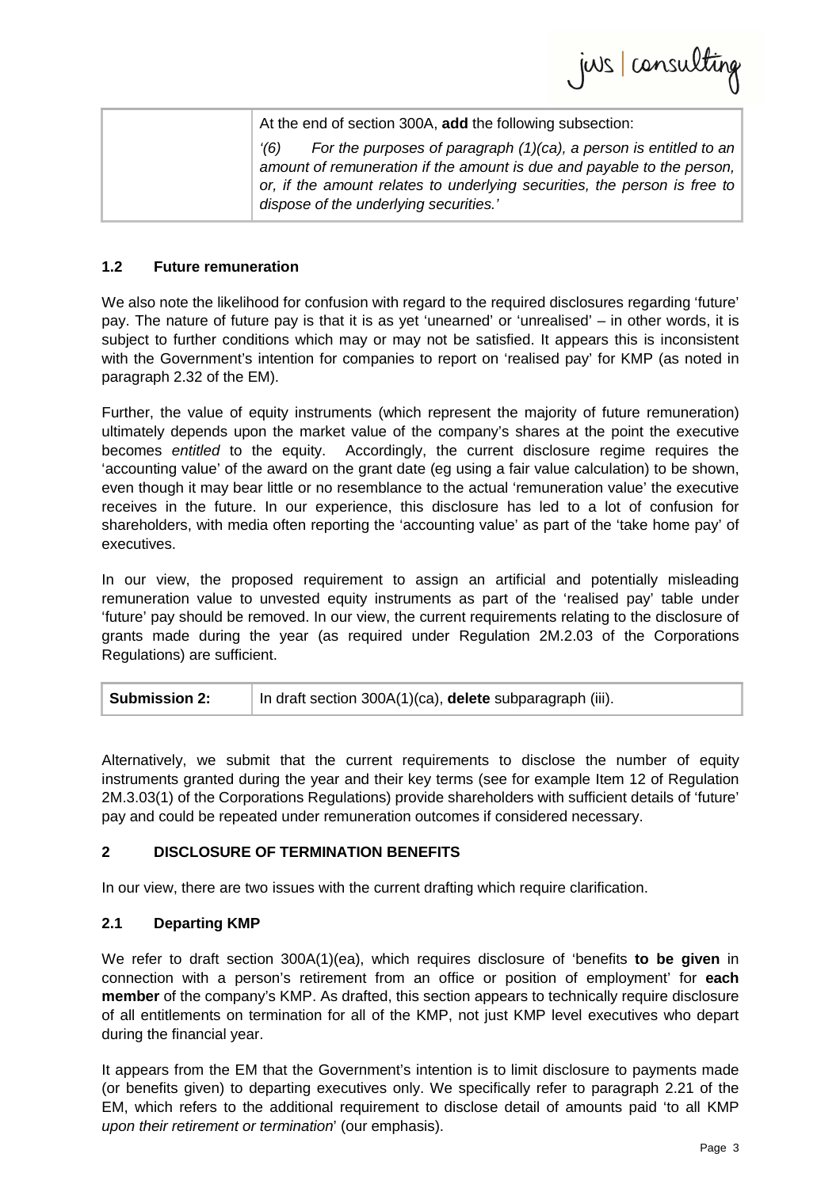jus consulting

At the end of section 300A, **add** the following subsection:

'(6) For the purposes of paragraph (1)(ca), a person is entitled to an amount of remuneration if the amount is due and payable to the person, or, if the amount relates to underlying securities, the person is free to dispose of the underlying securities.'

### **1.2 Future remuneration**

We also note the likelihood for confusion with regard to the required disclosures regarding 'future' pay. The nature of future pay is that it is as yet 'unearned' or 'unrealised' – in other words, it is subject to further conditions which may or may not be satisfied. It appears this is inconsistent with the Government's intention for companies to report on 'realised pay' for KMP (as noted in paragraph 2.32 of the EM).

Further, the value of equity instruments (which represent the majority of future remuneration) ultimately depends upon the market value of the company's shares at the point the executive becomes entitled to the equity. Accordingly, the current disclosure regime requires the 'accounting value' of the award on the grant date (eg using a fair value calculation) to be shown, even though it may bear little or no resemblance to the actual 'remuneration value' the executive receives in the future. In our experience, this disclosure has led to a lot of confusion for shareholders, with media often reporting the 'accounting value' as part of the 'take home pay' of executives.

In our view, the proposed requirement to assign an artificial and potentially misleading remuneration value to unvested equity instruments as part of the 'realised pay' table under 'future' pay should be removed. In our view, the current requirements relating to the disclosure of grants made during the year (as required under Regulation 2M.2.03 of the Corporations Regulations) are sufficient.

| <b>Submission 2:</b> | In draft section 300A(1)(ca), delete subparagraph (iii). |
|----------------------|----------------------------------------------------------|
|----------------------|----------------------------------------------------------|

Alternatively, we submit that the current requirements to disclose the number of equity instruments granted during the year and their key terms (see for example Item 12 of Regulation 2M.3.03(1) of the Corporations Regulations) provide shareholders with sufficient details of 'future' pay and could be repeated under remuneration outcomes if considered necessary.

### **2 DISCLOSURE OF TERMINATION BENEFITS**

In our view, there are two issues with the current drafting which require clarification.

### **2.1 Departing KMP**

We refer to draft section 300A(1)(ea), which requires disclosure of 'benefits **to be given** in connection with a person's retirement from an office or position of employment' for **each member** of the company's KMP. As drafted, this section appears to technically require disclosure of all entitlements on termination for all of the KMP, not just KMP level executives who depart during the financial year.

It appears from the EM that the Government's intention is to limit disclosure to payments made (or benefits given) to departing executives only. We specifically refer to paragraph 2.21 of the EM, which refers to the additional requirement to disclose detail of amounts paid 'to all KMP upon their retirement or termination' (our emphasis).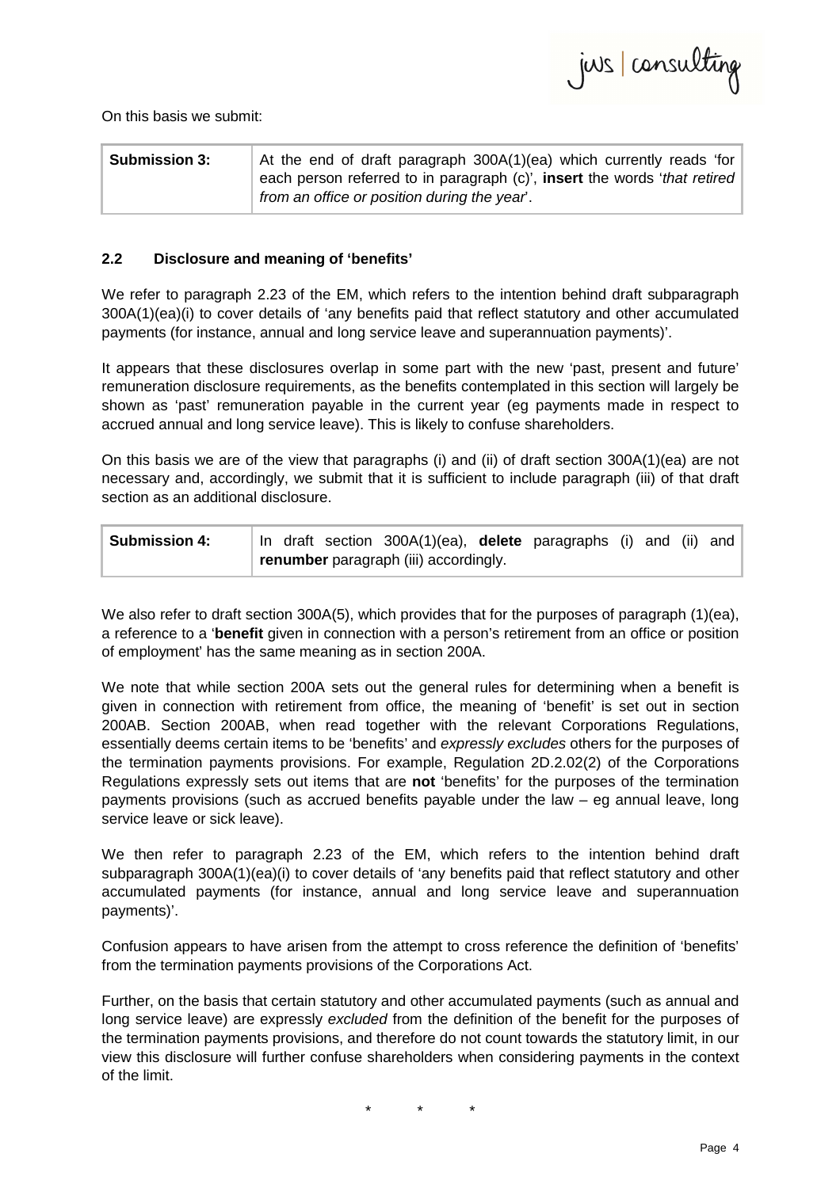

On this basis we submit:

| <b>Submission 3:</b> | At the end of draft paragraph 300A(1)(ea) which currently reads 'for            |
|----------------------|---------------------------------------------------------------------------------|
|                      | each person referred to in paragraph (c)', insert the words <i>that retired</i> |
|                      | from an office or position during the year.                                     |

# **2.2 Disclosure and meaning of 'benefits'**

We refer to paragraph 2.23 of the EM, which refers to the intention behind draft subparagraph 300A(1)(ea)(i) to cover details of 'any benefits paid that reflect statutory and other accumulated payments (for instance, annual and long service leave and superannuation payments)'.

It appears that these disclosures overlap in some part with the new 'past, present and future' remuneration disclosure requirements, as the benefits contemplated in this section will largely be shown as 'past' remuneration payable in the current year (eg payments made in respect to accrued annual and long service leave). This is likely to confuse shareholders.

On this basis we are of the view that paragraphs (i) and (ii) of draft section 300A(1)(ea) are not necessary and, accordingly, we submit that it is sufficient to include paragraph (iii) of that draft section as an additional disclosure.

| <b>Submission 4:</b> |  | In draft section $300A(1)(ea)$ , delete paragraphs (i) and (ii) and |  |  |  |
|----------------------|--|---------------------------------------------------------------------|--|--|--|
|                      |  | renumber paragraph (iii) accordingly.                               |  |  |  |

We also refer to draft section 300A(5), which provides that for the purposes of paragraph (1)(ea), a reference to a '**benefit** given in connection with a person's retirement from an office or position of employment' has the same meaning as in section 200A.

We note that while section 200A sets out the general rules for determining when a benefit is given in connection with retirement from office, the meaning of 'benefit' is set out in section 200AB. Section 200AB, when read together with the relevant Corporations Regulations, essentially deems certain items to be 'benefits' and expressly excludes others for the purposes of the termination payments provisions. For example, Regulation 2D.2.02(2) of the Corporations Regulations expressly sets out items that are **not** 'benefits' for the purposes of the termination payments provisions (such as accrued benefits payable under the law – eg annual leave, long service leave or sick leave).

We then refer to paragraph 2.23 of the EM, which refers to the intention behind draft subparagraph 300A(1)(ea)(i) to cover details of 'any benefits paid that reflect statutory and other accumulated payments (for instance, annual and long service leave and superannuation payments)'.

Confusion appears to have arisen from the attempt to cross reference the definition of 'benefits' from the termination payments provisions of the Corporations Act.

Further, on the basis that certain statutory and other accumulated payments (such as annual and long service leave) are expressly excluded from the definition of the benefit for the purposes of the termination payments provisions, and therefore do not count towards the statutory limit, in our view this disclosure will further confuse shareholders when considering payments in the context of the limit.

\* \* \*